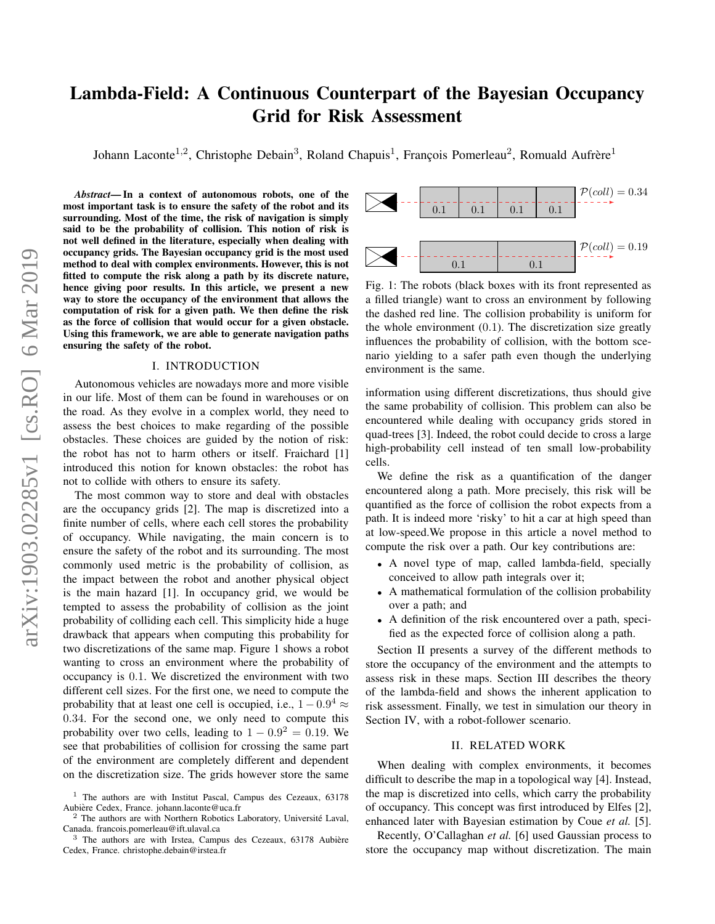# Lambda-Field: A Continuous Counterpart of the Bayesian Occupancy Grid for Risk Assessment

Johann Laconte<sup>1,2</sup>, Christophe Debain<sup>3</sup>, Roland Chapuis<sup>1</sup>, François Pomerleau<sup>2</sup>, Romuald Aufrère<sup>1</sup>

*Abstract*— In a context of autonomous robots, one of the most important task is to ensure the safety of the robot and its surrounding. Most of the time, the risk of navigation is simply said to be the probability of collision. This notion of risk is not well defined in the literature, especially when dealing with occupancy grids. The Bayesian occupancy grid is the most used method to deal with complex environments. However, this is not fitted to compute the risk along a path by its discrete nature, hence giving poor results. In this article, we present a new way to store the occupancy of the environment that allows the computation of risk for a given path. We then define the risk as the force of collision that would occur for a given obstacle. Using this framework, we are able to generate navigation paths ensuring the safety of the robot.

## I. INTRODUCTION

Autonomous vehicles are nowadays more and more visible in our life. Most of them can be found in warehouses or on the road. As they evolve in a complex world, they need to assess the best choices to make regarding of the possible obstacles. These choices are guided by the notion of risk: the robot has not to harm others or itself. Fraichard [1] introduced this notion for known obstacles: the robot has not to collide with others to ensure its safety.

The most common way to store and deal with obstacles are the occupancy grids [2]. The map is discretized into a finite number of cells, where each cell stores the probability of occupancy. While navigating, the main concern is to ensure the safety of the robot and its surrounding. The most commonly used metric is the probability of collision, as the impact between the robot and another physical object is the main hazard [1]. In occupancy grid, we would be tempted to assess the probability of collision as the joint probability of colliding each cell. This simplicity hide a huge drawback that appears when computing this probability for two discretizations of the same map. Figure 1 shows a robot wanting to cross an environment where the probability of occupancy is 0.1. We discretized the environment with two different cell sizes. For the first one, we need to compute the probability that at least one cell is occupied, i.e.,  $1 - 0.9^4 \approx$ 0.34. For the second one, we only need to compute this probability over two cells, leading to  $1 - 0.9^2 = 0.19$ . We see that probabilities of collision for crossing the same part of the environment are completely different and dependent on the discretization size. The grids however store the same



Fig. 1: The robots (black boxes with its front represented as a filled triangle) want to cross an environment by following the dashed red line. The collision probability is uniform for the whole environment  $(0.1)$ . The discretization size greatly influences the probability of collision, with the bottom scenario yielding to a safer path even though the underlying environment is the same.

information using different discretizations, thus should give the same probability of collision. This problem can also be encountered while dealing with occupancy grids stored in quad-trees [3]. Indeed, the robot could decide to cross a large high-probability cell instead of ten small low-probability cells.

We define the risk as a quantification of the danger encountered along a path. More precisely, this risk will be quantified as the force of collision the robot expects from a path. It is indeed more 'risky' to hit a car at high speed than at low-speed.We propose in this article a novel method to compute the risk over a path. Our key contributions are:

- A novel type of map, called lambda-field, specially conceived to allow path integrals over it;
- A mathematical formulation of the collision probability over a path; and
- A definition of the risk encountered over a path, specified as the expected force of collision along a path.

Section II presents a survey of the different methods to store the occupancy of the environment and the attempts to assess risk in these maps. Section III describes the theory of the lambda-field and shows the inherent application to risk assessment. Finally, we test in simulation our theory in Section IV, with a robot-follower scenario.

## II. RELATED WORK

When dealing with complex environments, it becomes difficult to describe the map in a topological way [4]. Instead, the map is discretized into cells, which carry the probability of occupancy. This concept was first introduced by Elfes [2], enhanced later with Bayesian estimation by Coue *et al.* [5].

Recently, O'Callaghan *et al.* [6] used Gaussian process to store the occupancy map without discretization. The main

<sup>1</sup> The authors are with Institut Pascal, Campus des Cezeaux, 63178 Aubiere Cedex, France. johann.laconte@uca.fr `

 $2$  The authors are with Northern Robotics Laboratory, Université Laval, Canada. francois.pomerleau@ift.ulaval.ca

 $3$  The authors are with Irstea, Campus des Cezeaux, 63178 Aubière Cedex, France. christophe.debain@irstea.fr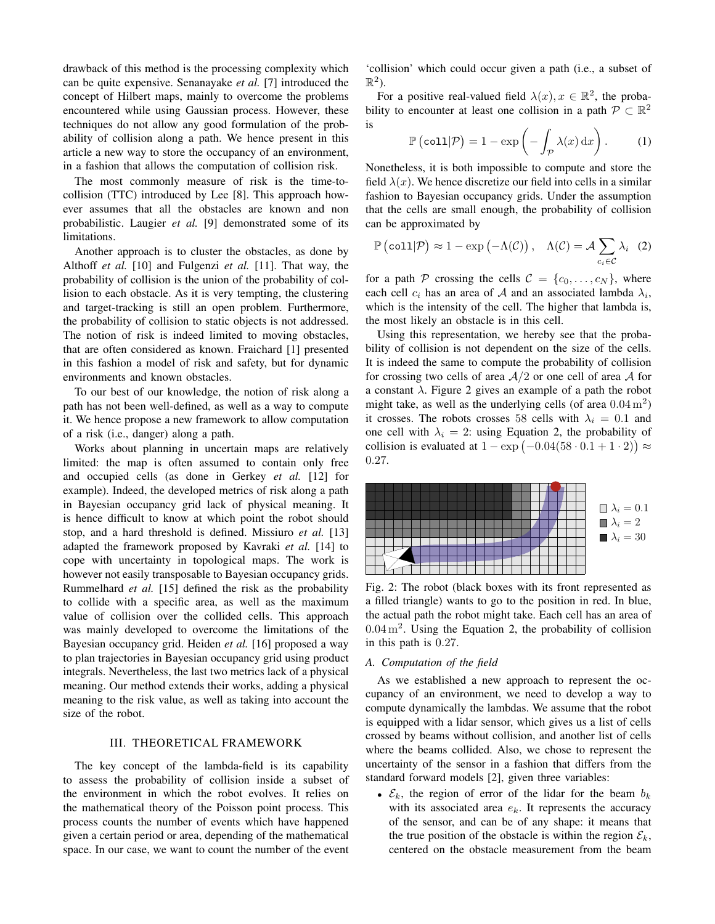drawback of this method is the processing complexity which can be quite expensive. Senanayake *et al.* [7] introduced the concept of Hilbert maps, mainly to overcome the problems encountered while using Gaussian process. However, these techniques do not allow any good formulation of the probability of collision along a path. We hence present in this article a new way to store the occupancy of an environment, in a fashion that allows the computation of collision risk.

The most commonly measure of risk is the time-tocollision (TTC) introduced by Lee [8]. This approach however assumes that all the obstacles are known and non probabilistic. Laugier *et al.* [9] demonstrated some of its limitations.

Another approach is to cluster the obstacles, as done by Althoff *et al.* [10] and Fulgenzi *et al.* [11]. That way, the probability of collision is the union of the probability of collision to each obstacle. As it is very tempting, the clustering and target-tracking is still an open problem. Furthermore, the probability of collision to static objects is not addressed. The notion of risk is indeed limited to moving obstacles, that are often considered as known. Fraichard [1] presented in this fashion a model of risk and safety, but for dynamic environments and known obstacles.

To our best of our knowledge, the notion of risk along a path has not been well-defined, as well as a way to compute it. We hence propose a new framework to allow computation of a risk (i.e., danger) along a path.

Works about planning in uncertain maps are relatively limited: the map is often assumed to contain only free and occupied cells (as done in Gerkey *et al.* [12] for example). Indeed, the developed metrics of risk along a path in Bayesian occupancy grid lack of physical meaning. It is hence difficult to know at which point the robot should stop, and a hard threshold is defined. Missiuro *et al.* [13] adapted the framework proposed by Kavraki *et al.* [14] to cope with uncertainty in topological maps. The work is however not easily transposable to Bayesian occupancy grids. Rummelhard *et al.* [15] defined the risk as the probability to collide with a specific area, as well as the maximum value of collision over the collided cells. This approach was mainly developed to overcome the limitations of the Bayesian occupancy grid. Heiden *et al.* [16] proposed a way to plan trajectories in Bayesian occupancy grid using product integrals. Nevertheless, the last two metrics lack of a physical meaning. Our method extends their works, adding a physical meaning to the risk value, as well as taking into account the size of the robot.

## III. THEORETICAL FRAMEWORK

The key concept of the lambda-field is its capability to assess the probability of collision inside a subset of the environment in which the robot evolves. It relies on the mathematical theory of the Poisson point process. This process counts the number of events which have happened given a certain period or area, depending of the mathematical space. In our case, we want to count the number of the event 'collision' which could occur given a path (i.e., a subset of  $\mathbb{R}^2$ ).

For a positive real-valued field  $\lambda(x)$ ,  $x \in \mathbb{R}^2$ , the probability to encounter at least one collision in a path  $P \subset \mathbb{R}^2$ is

$$
\mathbb{P}\left(\text{coll}|\mathcal{P}\right) = 1 - \exp\left(-\int_{\mathcal{P}} \lambda(x) \, \mathrm{d}x\right). \tag{1}
$$

Nonetheless, it is both impossible to compute and store the field  $\lambda(x)$ . We hence discretize our field into cells in a similar fashion to Bayesian occupancy grids. Under the assumption that the cells are small enough, the probability of collision can be approximated by

$$
\mathbb{P}\left(\text{coll}|\mathcal{P}\right) \approx 1 - \exp\left(-\Lambda(\mathcal{C})\right), \quad \Lambda(\mathcal{C}) = \mathcal{A} \sum_{c_i \in \mathcal{C}} \lambda_i \quad (2)
$$

for a path P crossing the cells  $C = \{c_0, \ldots, c_N\}$ , where each cell  $c_i$  has an area of A and an associated lambda  $\lambda_i$ , which is the intensity of the cell. The higher that lambda is, the most likely an obstacle is in this cell.

Using this representation, we hereby see that the probability of collision is not dependent on the size of the cells. It is indeed the same to compute the probability of collision for crossing two cells of area  $A/2$  or one cell of area A for a constant  $\lambda$ . Figure 2 gives an example of a path the robot might take, as well as the underlying cells (of area  $0.04 \text{ m}^2$ ) it crosses. The robots crosses 58 cells with  $\lambda_i = 0.1$  and one cell with  $\lambda_i = 2$ : using Equation 2, the probability of collision is evaluated at  $1 - \exp(-0.04(58 \cdot 0.1 + 1 \cdot 2)) \approx$ 0.27.



Fig. 2: The robot (black boxes with its front represented as a filled triangle) wants to go to the position in red. In blue, the actual path the robot might take. Each cell has an area of  $0.04 \,\mathrm{m}^2$ . Using the Equation 2, the probability of collision in this path is 0.27.

## *A. Computation of the field*

As we established a new approach to represent the occupancy of an environment, we need to develop a way to compute dynamically the lambdas. We assume that the robot is equipped with a lidar sensor, which gives us a list of cells crossed by beams without collision, and another list of cells where the beams collided. Also, we chose to represent the uncertainty of the sensor in a fashion that differs from the standard forward models [2], given three variables:

•  $\mathcal{E}_k$ , the region of error of the lidar for the beam  $b_k$ with its associated area  $e_k$ . It represents the accuracy of the sensor, and can be of any shape: it means that the true position of the obstacle is within the region  $\mathcal{E}_k$ , centered on the obstacle measurement from the beam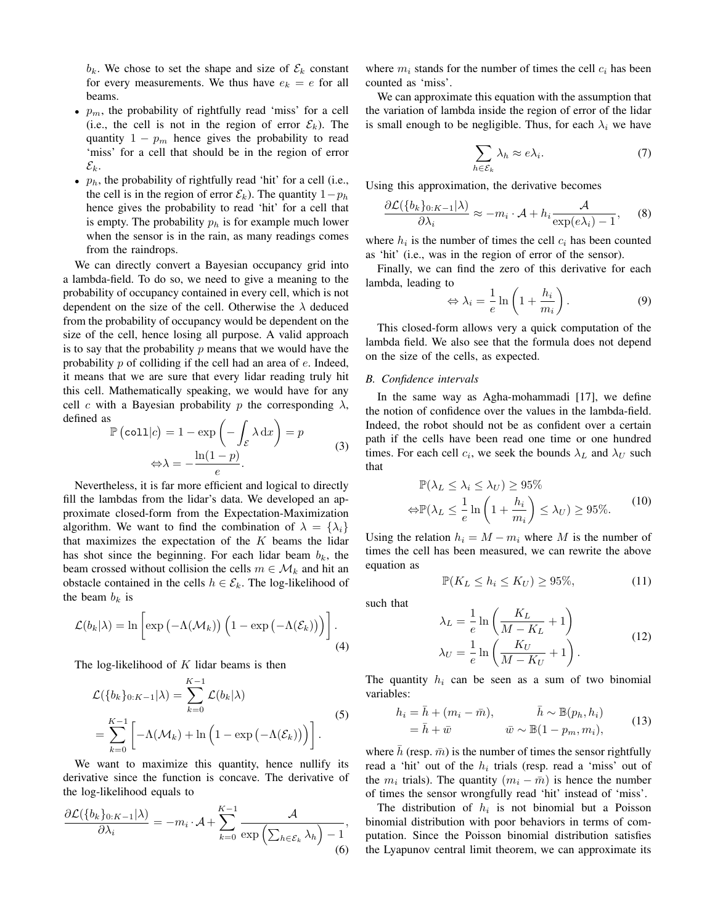$b_k$ . We chose to set the shape and size of  $\mathcal{E}_k$  constant for every measurements. We thus have  $e_k = e$  for all beams.

- $p_m$ , the probability of rightfully read 'miss' for a cell (i.e., the cell is not in the region of error  $\mathcal{E}_k$ ). The quantity  $1 - p_m$  hence gives the probability to read 'miss' for a cell that should be in the region of error  $\mathcal{E}_k$ .
- $p_h$ , the probability of rightfully read 'hit' for a cell (i.e., the cell is in the region of error  $\mathcal{E}_k$ ). The quantity  $1-p_h$ hence gives the probability to read 'hit' for a cell that is empty. The probability  $p_h$  is for example much lower when the sensor is in the rain, as many readings comes from the raindrops.

We can directly convert a Bayesian occupancy grid into a lambda-field. To do so, we need to give a meaning to the probability of occupancy contained in every cell, which is not dependent on the size of the cell. Otherwise the  $\lambda$  deduced from the probability of occupancy would be dependent on the size of the cell, hence losing all purpose. A valid approach is to say that the probability  $p$  means that we would have the probability  $p$  of colliding if the cell had an area of  $e$ . Indeed, it means that we are sure that every lidar reading truly hit this cell. Mathematically speaking, we would have for any cell c with a Bayesian probability p the corresponding  $\lambda$ , defined as

$$
\mathbb{P}\left(\text{coll}|c\right) = 1 - \exp\left(-\int_{\mathcal{E}} \lambda \,dx\right) = p
$$
  

$$
\Leftrightarrow \lambda = -\frac{\ln(1-p)}{e}.
$$
 (3)

Nevertheless, it is far more efficient and logical to directly fill the lambdas from the lidar's data. We developed an approximate closed-form from the Expectation-Maximization algorithm. We want to find the combination of  $\lambda = {\lambda_i}$ that maximizes the expectation of the  $K$  beams the lidar has shot since the beginning. For each lidar beam  $b_k$ , the beam crossed without collision the cells  $m \in \mathcal{M}_k$  and hit an obstacle contained in the cells  $h \in \mathcal{E}_k$ . The log-likelihood of the beam  $b_k$  is

$$
\mathcal{L}(b_k|\lambda) = \ln \left[ \exp \left( -\Lambda(\mathcal{M}_k) \right) \left( 1 - \exp \left( -\Lambda(\mathcal{E}_k) \right) \right) \right]. \tag{4}
$$

The log-likelihood of  $K$  lidar beams is then

 $\mathbf{r} \times \mathbf{r}$ 

$$
\mathcal{L}(\lbrace b_k \rbrace_{0:K-1} | \lambda) = \sum_{k=0}^{K-1} \mathcal{L}(b_k | \lambda)
$$
  
= 
$$
\sum_{k=0}^{K-1} \left[ -\Lambda(\mathcal{M}_k) + \ln \left( 1 - \exp \left( -\Lambda(\mathcal{E}_k) \right) \right) \right].
$$
 (5)

We want to maximize this quantity, hence nullify its derivative since the function is concave. The derivative of the log-likelihood equals to

$$
\frac{\partial \mathcal{L}(\{b_k\}_{0:K-1}|\lambda)}{\partial \lambda_i} = -m_i \cdot \mathcal{A} + \sum_{k=0}^{K-1} \frac{\mathcal{A}}{\exp\left(\sum_{h \in \mathcal{E}_k} \lambda_h\right) - 1},\tag{6}
$$

where  $m_i$  stands for the number of times the cell  $c_i$  has been counted as 'miss'.

We can approximate this equation with the assumption that the variation of lambda inside the region of error of the lidar is small enough to be negligible. Thus, for each  $\lambda_i$  we have

$$
\sum_{h \in \mathcal{E}_k} \lambda_h \approx e \lambda_i. \tag{7}
$$

Using this approximation, the derivative becomes

$$
\frac{\partial \mathcal{L}(\{b_k\}_{0:K-1}|\lambda)}{\partial \lambda_i} \approx -m_i \cdot \mathcal{A} + h_i \frac{\mathcal{A}}{\exp(e\lambda_i) - 1}, \quad (8)
$$

where  $h_i$  is the number of times the cell  $c_i$  has been counted as 'hit' (i.e., was in the region of error of the sensor).

Finally, we can find the zero of this derivative for each lambda, leading to

$$
\Leftrightarrow \lambda_i = \frac{1}{e} \ln \left( 1 + \frac{h_i}{m_i} \right). \tag{9}
$$

This closed-form allows very a quick computation of the lambda field. We also see that the formula does not depend on the size of the cells, as expected.

## *B. Confidence intervals*

In the same way as Agha-mohammadi [17], we define the notion of confidence over the values in the lambda-field. Indeed, the robot should not be as confident over a certain path if the cells have been read one time or one hundred times. For each cell  $c_i$ , we seek the bounds  $\lambda_L$  and  $\lambda_U$  such that

$$
\mathbb{P}(\lambda_L \le \lambda_i \le \lambda_U) \ge 95\%
$$
  

$$
\Leftrightarrow \mathbb{P}(\lambda_L \le \frac{1}{e} \ln \left(1 + \frac{h_i}{m_i}\right) \le \lambda_U) \ge 95\%.
$$
 (10)

Using the relation  $h_i = M - m_i$  where M is the number of times the cell has been measured, we can rewrite the above equation as

$$
\mathbb{P}(K_L \le h_i \le K_U) \ge 95\%,\tag{11}
$$

such that

$$
\lambda_L = \frac{1}{e} \ln \left( \frac{K_L}{M - K_L} + 1 \right)
$$
  
\n
$$
\lambda_U = \frac{1}{e} \ln \left( \frac{K_U}{M - K_U} + 1 \right).
$$
\n(12)

The quantity  $h_i$  can be seen as a sum of two binomial variables:

$$
h_i = \bar{h} + (m_i - \bar{m}), \qquad \bar{h} \sim \mathbb{B}(p_h, h_i)
$$
  
=  $\bar{h} + \bar{w} \qquad \bar{w} \sim \mathbb{B}(1 - p_m, m_i),$  (13)

where h (resp.  $\bar{m}$ ) is the number of times the sensor rightfully read a 'hit' out of the  $h_i$  trials (resp. read a 'miss' out of the  $m_i$  trials). The quantity  $(m_i - \bar{m})$  is hence the number of times the sensor wrongfully read 'hit' instead of 'miss'.

The distribution of  $h_i$  is not binomial but a Poisson binomial distribution with poor behaviors in terms of computation. Since the Poisson binomial distribution satisfies the Lyapunov central limit theorem, we can approximate its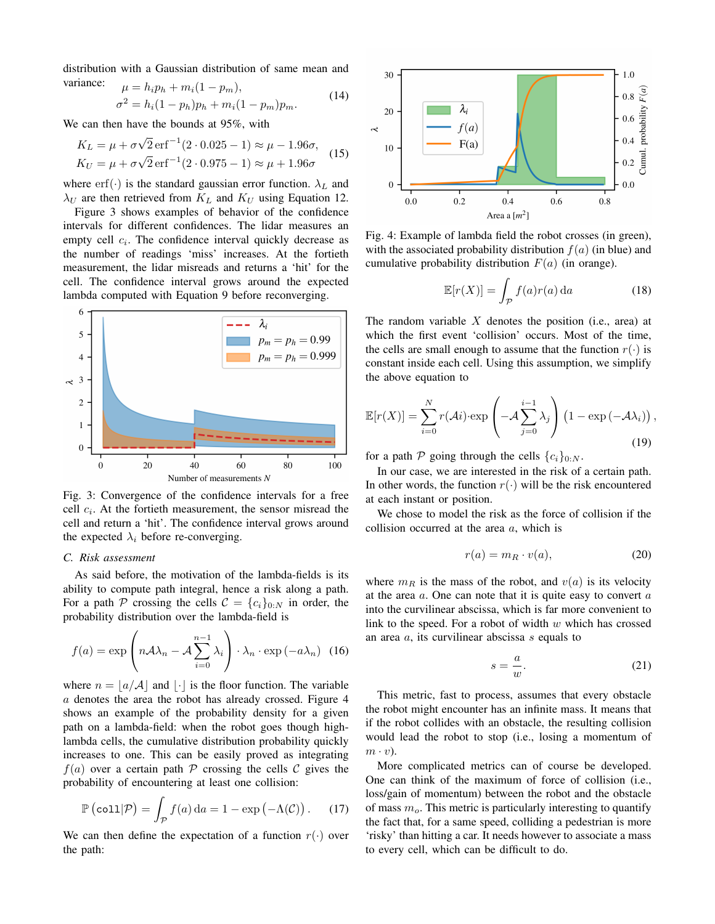distribution with a Gaussian distribution of same mean and variance:  $u - h \cdot n_1 + m \cdot (1 - n)$ 

$$
\mu = n_i p_h + m_i (1 - p_m),
$$
  
\n
$$
\sigma^2 = h_i (1 - p_h) p_h + m_i (1 - p_m) p_m.
$$
\n(14)

We can then have the bounds at 95%, with

$$
K_L = \mu + \sigma \sqrt{2} \,\text{erf}^{-1} (2 \cdot 0.025 - 1) \approx \mu - 1.96\sigma,
$$
  
\n
$$
K_U = \mu + \sigma \sqrt{2} \,\text{erf}^{-1} (2 \cdot 0.975 - 1) \approx \mu + 1.96\sigma
$$
 (15)

where erf(·) is the standard gaussian error function.  $\lambda_L$  and  $\lambda_U$  are then retrieved from  $K_L$  and  $K_U$  using Equation 12.

Figure 3 shows examples of behavior of the confidence intervals for different confidences. The lidar measures an empty cell  $c_i$ . The confidence interval quickly decrease as the number of readings 'miss' increases. At the fortieth measurement, the lidar misreads and returns a 'hit' for the cell. The confidence interval grows around the expected lambda computed with Equation 9 before reconverging.



Fig. 3: Convergence of the confidence intervals for a free cell  $c_i$ . At the fortieth measurement, the sensor misread the cell and return a 'hit'. The confidence interval grows around the expected  $\lambda_i$  before re-converging.

## *C. Risk assessment*

As said before, the motivation of the lambda-fields is its ability to compute path integral, hence a risk along a path. For a path P crossing the cells  $C = \{c_i\}_{0:N}$  in order, the probability distribution over the lambda-field is

$$
f(a) = \exp\left(n\mathcal{A}\lambda_n - \mathcal{A}\sum_{i=0}^{n-1} \lambda_i\right) \cdot \lambda_n \cdot \exp(-a\lambda_n) \tag{16}
$$

where  $n = |a/A|$  and  $|\cdot|$  is the floor function. The variable a denotes the area the robot has already crossed. Figure 4 shows an example of the probability density for a given path on a lambda-field: when the robot goes though highlambda cells, the cumulative distribution probability quickly increases to one. This can be easily proved as integrating  $f(a)$  over a certain path P crossing the cells C gives the probability of encountering at least one collision:

$$
\mathbb{P}\left(\text{coll}|\mathcal{P}\right) = \int_{\mathcal{P}} f(a) da = 1 - \exp\left(-\Lambda(\mathcal{C})\right). \tag{17}
$$

We can then define the expectation of a function  $r(\cdot)$  over the path:



Fig. 4: Example of lambda field the robot crosses (in green), with the associated probability distribution  $f(a)$  (in blue) and cumulative probability distribution  $F(a)$  (in orange).

$$
\mathbb{E}[r(X)] = \int_{\mathcal{P}} f(a)r(a) da \qquad (18)
$$

The random variable  $X$  denotes the position (i.e., area) at which the first event 'collision' occurs. Most of the time, the cells are small enough to assume that the function  $r(\cdot)$  is constant inside each cell. Using this assumption, we simplify the above equation to

$$
\mathbb{E}[r(X)] = \sum_{i=0}^{N} r(\mathcal{A}i) \cdot \exp\left(-\mathcal{A}\sum_{j=0}^{i-1} \lambda_j\right) \left(1 - \exp\left(-\mathcal{A}\lambda_i\right)\right),\tag{19}
$$

for a path  $P$  going through the cells  ${c_i}_{0:N}$ .

In our case, we are interested in the risk of a certain path. In other words, the function  $r(\cdot)$  will be the risk encountered at each instant or position.

We chose to model the risk as the force of collision if the collision occurred at the area a, which is

$$
r(a) = m_R \cdot v(a), \tag{20}
$$

where  $m_R$  is the mass of the robot, and  $v(a)$  is its velocity at the area  $a$ . One can note that it is quite easy to convert  $a$ into the curvilinear abscissa, which is far more convenient to link to the speed. For a robot of width  $w$  which has crossed an area a, its curvilinear abscissa s equals to

$$
s = \frac{a}{w}.\tag{21}
$$

This metric, fast to process, assumes that every obstacle the robot might encounter has an infinite mass. It means that if the robot collides with an obstacle, the resulting collision would lead the robot to stop (i.e., losing a momentum of  $m \cdot v$ ).

More complicated metrics can of course be developed. One can think of the maximum of force of collision (i.e., loss/gain of momentum) between the robot and the obstacle of mass  $m<sub>o</sub>$ . This metric is particularly interesting to quantify the fact that, for a same speed, colliding a pedestrian is more 'risky' than hitting a car. It needs however to associate a mass to every cell, which can be difficult to do.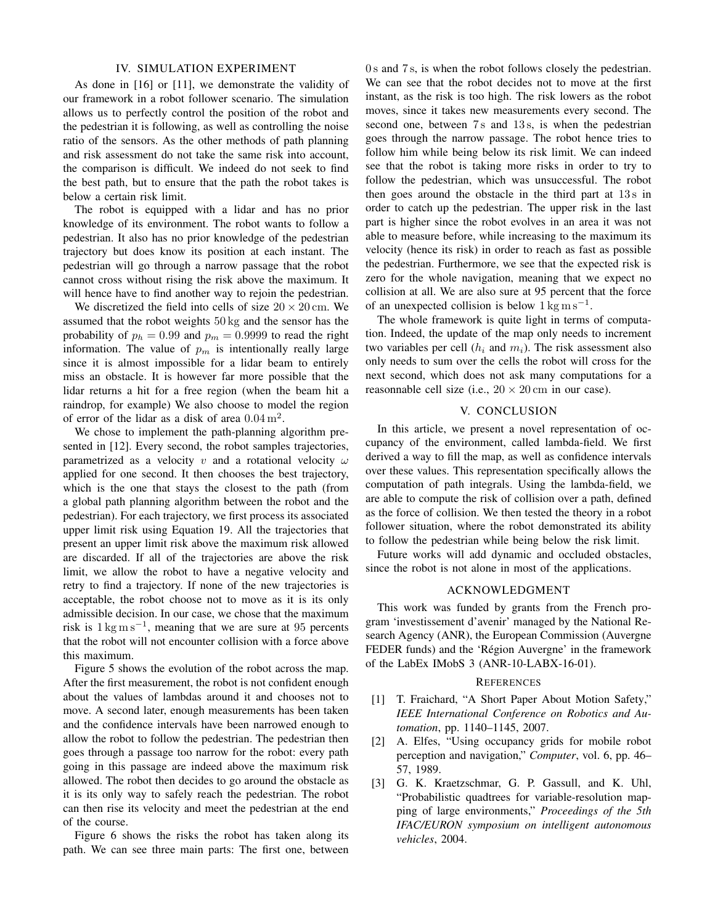## IV. SIMULATION EXPERIMENT

As done in [16] or [11], we demonstrate the validity of our framework in a robot follower scenario. The simulation allows us to perfectly control the position of the robot and the pedestrian it is following, as well as controlling the noise ratio of the sensors. As the other methods of path planning and risk assessment do not take the same risk into account, the comparison is difficult. We indeed do not seek to find the best path, but to ensure that the path the robot takes is below a certain risk limit.

The robot is equipped with a lidar and has no prior knowledge of its environment. The robot wants to follow a pedestrian. It also has no prior knowledge of the pedestrian trajectory but does know its position at each instant. The pedestrian will go through a narrow passage that the robot cannot cross without rising the risk above the maximum. It will hence have to find another way to rejoin the pedestrian.

We discretized the field into cells of size  $20 \times 20$  cm. We assumed that the robot weights 50 kg and the sensor has the probability of  $p_h = 0.99$  and  $p_m = 0.9999$  to read the right information. The value of  $p_m$  is intentionally really large since it is almost impossible for a lidar beam to entirely miss an obstacle. It is however far more possible that the lidar returns a hit for a free region (when the beam hit a raindrop, for example) We also choose to model the region of error of the lidar as a disk of area  $0.04 \text{ m}^2$ .

We chose to implement the path-planning algorithm presented in [12]. Every second, the robot samples trajectories, parametrized as a velocity v and a rotational velocity  $\omega$ applied for one second. It then chooses the best trajectory, which is the one that stays the closest to the path (from a global path planning algorithm between the robot and the pedestrian). For each trajectory, we first process its associated upper limit risk using Equation 19. All the trajectories that present an upper limit risk above the maximum risk allowed are discarded. If all of the trajectories are above the risk limit, we allow the robot to have a negative velocity and retry to find a trajectory. If none of the new trajectories is acceptable, the robot choose not to move as it is its only admissible decision. In our case, we chose that the maximum risk is  $1 \text{ kg m s}^{-1}$ , meaning that we are sure at 95 percents that the robot will not encounter collision with a force above this maximum.

Figure 5 shows the evolution of the robot across the map. After the first measurement, the robot is not confident enough about the values of lambdas around it and chooses not to move. A second later, enough measurements has been taken and the confidence intervals have been narrowed enough to allow the robot to follow the pedestrian. The pedestrian then goes through a passage too narrow for the robot: every path going in this passage are indeed above the maximum risk allowed. The robot then decides to go around the obstacle as it is its only way to safely reach the pedestrian. The robot can then rise its velocity and meet the pedestrian at the end of the course.

Figure 6 shows the risks the robot has taken along its path. We can see three main parts: The first one, between

0 s and 7 s, is when the robot follows closely the pedestrian. We can see that the robot decides not to move at the first instant, as the risk is too high. The risk lowers as the robot moves, since it takes new measurements every second. The second one, between 7s and 13s, is when the pedestrian goes through the narrow passage. The robot hence tries to follow him while being below its risk limit. We can indeed see that the robot is taking more risks in order to try to follow the pedestrian, which was unsuccessful. The robot then goes around the obstacle in the third part at  $13 s$  in order to catch up the pedestrian. The upper risk in the last part is higher since the robot evolves in an area it was not able to measure before, while increasing to the maximum its velocity (hence its risk) in order to reach as fast as possible the pedestrian. Furthermore, we see that the expected risk is zero for the whole navigation, meaning that we expect no collision at all. We are also sure at 95 percent that the force of an unexpected collision is below  $1 \text{ kg m s}^{-1}$ .

The whole framework is quite light in terms of computation. Indeed, the update of the map only needs to increment two variables per cell  $(h_i$  and  $m_i)$ . The risk assessment also only needs to sum over the cells the robot will cross for the next second, which does not ask many computations for a reasonnable cell size (i.e.,  $20 \times 20$  cm in our case).

## V. CONCLUSION

In this article, we present a novel representation of occupancy of the environment, called lambda-field. We first derived a way to fill the map, as well as confidence intervals over these values. This representation specifically allows the computation of path integrals. Using the lambda-field, we are able to compute the risk of collision over a path, defined as the force of collision. We then tested the theory in a robot follower situation, where the robot demonstrated its ability to follow the pedestrian while being below the risk limit.

Future works will add dynamic and occluded obstacles, since the robot is not alone in most of the applications.

## ACKNOWLEDGMENT

This work was funded by grants from the French program 'investissement d'avenir' managed by the National Research Agency (ANR), the European Commission (Auvergne FEDER funds) and the 'Région Auvergne' in the framework of the LabEx IMobS 3 (ANR-10-LABX-16-01).

#### **REFERENCES**

- [1] T. Fraichard, "A Short Paper About Motion Safety," *IEEE International Conference on Robotics and Automation*, pp. 1140–1145, 2007.
- [2] A. Elfes, "Using occupancy grids for mobile robot perception and navigation," *Computer*, vol. 6, pp. 46– 57, 1989.
- [3] G. K. Kraetzschmar, G. P. Gassull, and K. Uhl, "Probabilistic quadtrees for variable-resolution mapping of large environments," *Proceedings of the 5th IFAC/EURON symposium on intelligent autonomous vehicles*, 2004.